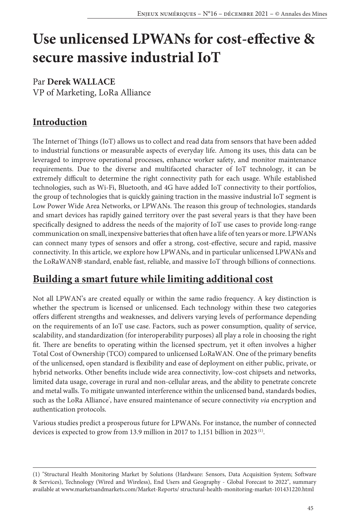# **Use unlicensed LPWANs for cost-effective & secure massive industrial IoT**

### Par **Derek WALLACE** VP of Marketing, LoRa Alliance

## **Introduction**

The Internet of Things (IoT) allows us to collect and read data from sensors that have been added to industrial functions or measurable aspects of everyday life. Among its uses, this data can be leveraged to improve operational processes, enhance worker safety, and monitor maintenance requirements. Due to the diverse and multifaceted character of IoT technology, it can be extremely difficult to determine the right connectivity path for each usage. While established technologies, such as Wi-Fi, Bluetooth, and 4G have added IoT connectivity to their portfolios, the group of technologies that is quickly gaining traction in the massive industrial IoT segment is Low Power Wide Area Networks, or LPWANs. The reason this group of technologies, standards and smart devices has rapidly gained territory over the past several years is that they have been specifically designed to address the needs of the majority of IoT use cases to provide long-range communication on small, inexpensive batteries that often have a life of ten years or more. LPWANs can connect many types of sensors and offer a strong, cost-effective, secure and rapid, massive connectivity. In this article, we explore how LPWANs, and in particular unlicensed LPWANs and the LoRaWAN® standard, enable fast, reliable, and massive IoT through billions of connections.

# **Building a smart future while limiting additional cost**

Not all LPWAN's are created equally or within the same radio frequency. A key distinction is whether the spectrum is licensed or unlicensed. Each technology within these two categories offers different strengths and weaknesses, and delivers varying levels of performance depending on the requirements of an IoT use case. Factors, such as power consumption, quality of service, scalability, and standardization (for interoperability purposes) all play a role in choosing the right fit. There are benefits to operating within the licensed spectrum, yet it often involves a higher Total Cost of Ownership (TCO) compared to unlicensed LoRaWAN. One of the primary benefits of the unlicensed, open standard is flexibility and ease of deployment on either public, private, or hybrid networks. Other benefits include wide area connectivity, low-cost chipsets and networks, limited data usage, coverage in rural and non-cellular areas, and the ability to penetrate concrete and metal walls. To mitigate unwanted interference within the unlicensed band, standards bodies, such as the LoRa Alliance<sup>\*</sup>, have ensured maintenance of secure connectivity *via* encryption and authentication protocols.

Various studies predict a prosperous future for LPWANs. For instance, the number of connected devices is expected to grow from 13.9 million in 2017 to 1,151 billion in 2023<sup>(1)</sup>.

<sup>(1) &</sup>quot;Structural Health Monitoring Market by Solutions (Hardware: Sensors, Data Acquisition System; Software & Services), Technology (Wired and Wireless), End Users and Geography - Global Forecast to 2022", summary available at www.marketsandmarkets.com/Market-Reports/ structural-health-monitoring-market-101431220.html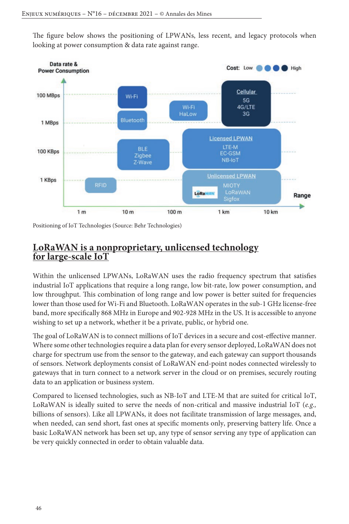The figure below shows the positioning of LPWANs, less recent, and legacy protocols when looking at power consumption & data rate against range.



Positioning of IoT Technologies (Source: Behr Technologies)

### **LoRaWAN is a nonproprietary, unlicensed technology for large-scale IoT**

Within the unlicensed LPWANs, LoRaWAN uses the radio frequency spectrum that satisfies industrial IoT applications that require a long range, low bit-rate, low power consumption, and low throughput. This combination of long range and low power is better suited for frequencies lower than those used for Wi-Fi and Bluetooth. LoRaWAN operates in the sub-1 GHz license-free band, more specifically 868 MHz in Europe and 902-928 MHz in the US. It is accessible to anyone wishing to set up a network, whether it be a private, public, or hybrid one.

The goal of LoRaWAN is to connect millions of IoT devices in a secure and cost-effective manner. Where some other technologies require a data plan for every sensor deployed, LoRaWAN does not charge for spectrum use from the sensor to the gateway, and each gateway can support thousands of sensors. Network deployments consist of LoRaWAN end-point nodes connected wirelessly to gateways that in turn connect to a network server in the cloud or on premises, securely routing data to an application or business system.

Compared to licensed technologies, such as NB-IoT and LTE-M that are suited for critical IoT, LoRaWAN is ideally suited to serve the needs of non-critical and massive industrial IoT (*e.g.,* billions of sensors). Like all LPWANs, it does not facilitate transmission of large messages, and, when needed, can send short, fast ones at specific moments only, preserving battery life. Once a basic LoRaWAN network has been set up, any type of sensor serving any type of application can be very quickly connected in order to obtain valuable data.